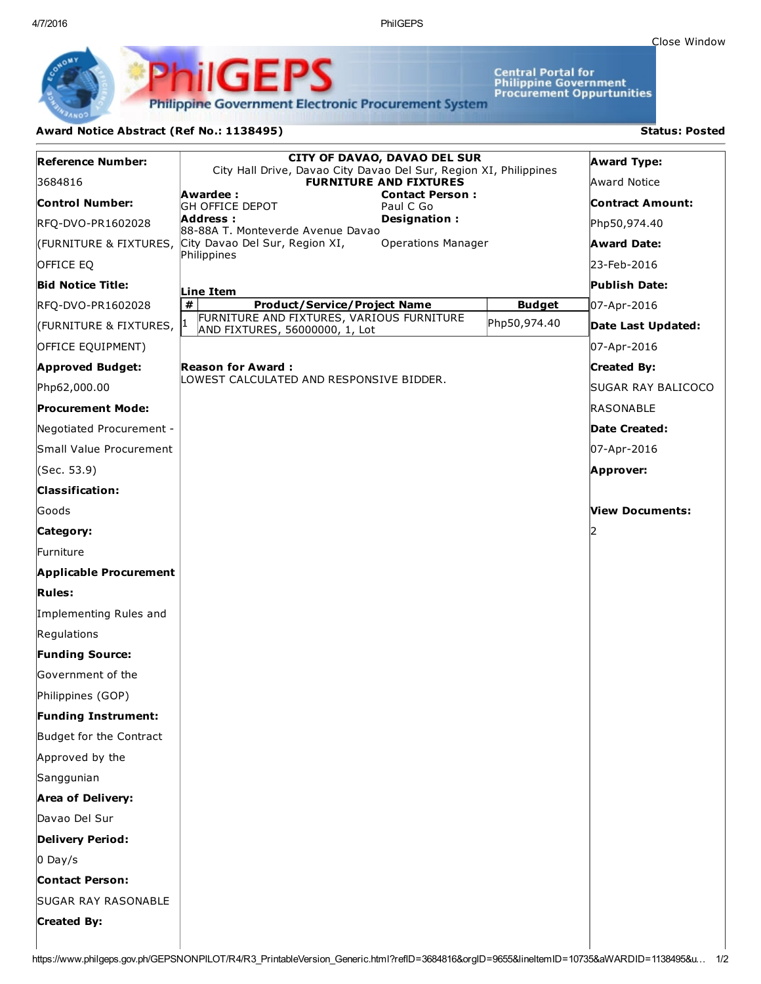4/7/2016 PhilGEPS

Central Portal for<br>Philippine Government<br>Procurement Oppurtunities

**Philippine Government Electronic Procurement System** 

PS

iliGEI

## Award Notice Abstract (Ref No.: 1138495) Status: Posted

Ph

| <b>Reference Number:</b>      | <b>CITY OF DAVAO, DAVAO DEL SUR</b><br>City Hall Drive, Davao City Davao Del Sur, Region XI, Philippines |               | <b>Award Type:</b>      |
|-------------------------------|----------------------------------------------------------------------------------------------------------|---------------|-------------------------|
| 3684816                       | <b>FURNITURE AND FIXTURES</b>                                                                            |               | Award Notice            |
| <b>Control Number:</b>        | Awardee :<br><b>Contact Person:</b><br><b>GH OFFICE DEPOT</b><br>Paul C Go                               |               | <b>Contract Amount:</b> |
| RFQ-DVO-PR1602028             | Designation:<br>Address :<br>88-88A T. Monteverde Avenue Davao                                           |               | Php50,974.40            |
|                               | <b>Operations Manager</b><br>(FURNITURE & FIXTURES, City Davao Del Sur, Region XI,                       |               | <b>Award Date:</b>      |
| OFFICE EQ                     | Philippines                                                                                              |               | 23-Feb-2016             |
| <b>Bid Notice Title:</b>      | Line Item                                                                                                |               | Publish Date:           |
| RFQ-DVO-PR1602028             | #<br><b>Product/Service/Project Name</b>                                                                 | <b>Budget</b> | 07-Apr-2016             |
| (FURNITURE & FIXTURES,        | FURNITURE AND FIXTURES, VARIOUS FURNITURE<br>AND FIXTURES, 56000000, 1, Lot                              | Php50,974.40  | Date Last Updated:      |
| OFFICE EQUIPMENT)             |                                                                                                          |               | 07-Apr-2016             |
| <b>Approved Budget:</b>       | <b>Reason for Award:</b>                                                                                 |               | <b>Created By:</b>      |
| Php62,000.00                  | LOWEST CALCULATED AND RESPONSIVE BIDDER.                                                                 |               | SUGAR RAY BALICOCO      |
| <b>Procurement Mode:</b>      |                                                                                                          |               | RASONABLE               |
| Negotiated Procurement -      |                                                                                                          |               | <b>Date Created:</b>    |
| Small Value Procurement       |                                                                                                          |               | 07-Apr-2016             |
| (Sec. 53.9)                   |                                                                                                          |               | Approver:               |
| <b>Classification:</b>        |                                                                                                          |               |                         |
| Goods                         |                                                                                                          |               | View Documents:         |
| Category:                     |                                                                                                          |               |                         |
| lFurniture                    |                                                                                                          |               |                         |
| <b>Applicable Procurement</b> |                                                                                                          |               |                         |
| <b>Rules:</b>                 |                                                                                                          |               |                         |
| Implementing Rules and        |                                                                                                          |               |                         |
| Regulations                   |                                                                                                          |               |                         |
| <b>Funding Source:</b>        |                                                                                                          |               |                         |
| Government of the             |                                                                                                          |               |                         |
| Philippines (GOP)             |                                                                                                          |               |                         |
| Funding Instrument:           |                                                                                                          |               |                         |
| Budget for the Contract       |                                                                                                          |               |                         |
| Approved by the               |                                                                                                          |               |                         |
| Sanggunian                    |                                                                                                          |               |                         |
| <b>Area of Delivery:</b>      |                                                                                                          |               |                         |
| Davao Del Sur                 |                                                                                                          |               |                         |
| Delivery Period:              |                                                                                                          |               |                         |
| $0$ Day/s                     |                                                                                                          |               |                         |
| <b>Contact Person:</b>        |                                                                                                          |               |                         |
| <b>SUGAR RAY RASONABLE</b>    |                                                                                                          |               |                         |
| <b>Created By:</b>            |                                                                                                          |               |                         |
|                               |                                                                                                          |               |                         |